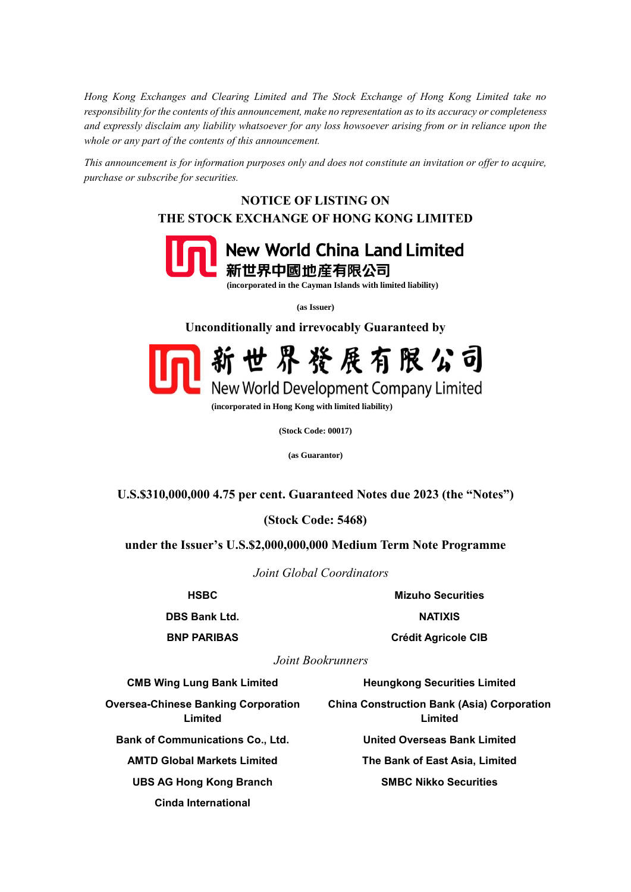*Hong Kong Exchanges and Clearing Limited and The Stock Exchange of Hong Kong Limited take no responsibility for the contents of this announcement, make no representation as to its accuracy or completeness and expressly disclaim any liability whatsoever for any loss howsoever arising from or in reliance upon the whole or any part of the contents of this announcement.*

*This announcement is for information purposes only and does not constitute an invitation or offer to acquire, purchase or subscribe for securities.*

## **NOTICE OF LISTING ON THE STOCK EXCHANGE OF HONG KONG LIMITED**



 **(incorporated in the Cayman Islands with limited liability)**

**(as Issuer)**

**Unconditionally and irrevocably Guaranteed by**



 **(incorporated in Hong Kong with limited liability)**

**(Stock Code: 00017)**

**(as Guarantor)**

**U.S.\$310,000,000 4.75 per cent. Guaranteed Notes due 2023 (the "Notes")**

**(Stock Code: 5468)**

**under the Issuer's U.S.\$2,000,000,000 Medium Term Note Programme**

*Joint Global Coordinators*

**DBS Bank Ltd. NATIXIS** 

**HSBC Mizuho Securities**

**BNP PARIBAS Crédit Agricole CIB**

*Joint Bookrunners*

**CMB Wing Lung Bank Limited Heungkong Securities Limited**

**Oversea-Chinese Banking Corporation** 

**Limited**

**Bank of Communications Co., Ltd. United Overseas Bank Limited**

**UBS AG Hong Kong Branch SMBC Nikko Securities**

**Cinda International**

**Limited**

**China Construction Bank (Asia) Corporation** 

**AMTD Global Markets Limited The Bank of East Asia, Limited**